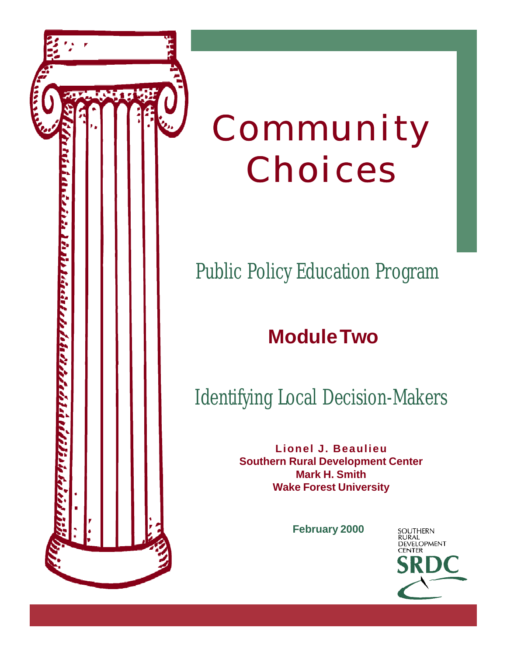

# Community Choices

### Public Policy Education Program

### **Module Two**

### Identifying Local Decision-Makers

**Lionel J. Beaulieu Southern Rural Development Center Mark H. Smith Wake Forest University**

**February 2000**

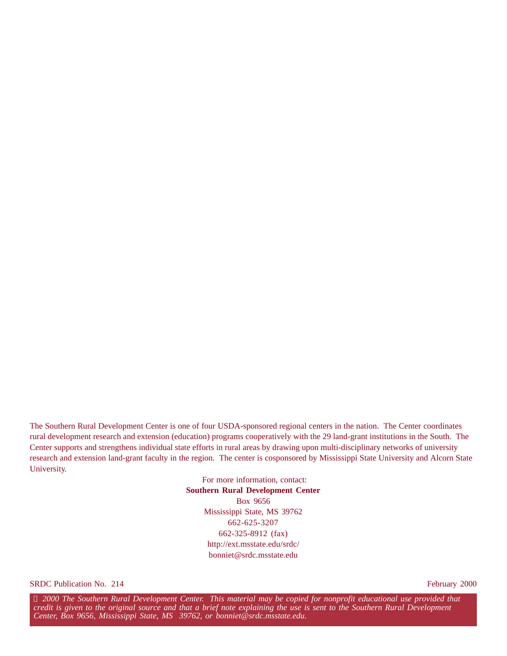The Southern Rural Development Center is one of four USDA-sponsored regional centers in the nation. The Center coordinates rural development research and extension (education) programs cooperatively with the 29 land-grant institutions in the South. The Center supports and strengthens individual state efforts in rural areas by drawing upon multi-disciplinary networks of university research and extension land-grant faculty in the region. The center is cosponsored by Mississippi State University and Alcorn State University.

> For more information, contact: **Southern Rural Development Center** Box 9656 Mississippi State, MS 39762 662-625-3207 662-325-8912 (fax) http://ext.msstate.edu/srdc/ bonniet@srdc.msstate.edu

SRDC Publication No. 214 February 2000

 *2000 The Southern Rural Development Center. This material may be copied for nonprofit educational use provided that credit is given to the original source and that a brief note explaining the use is sent to the Southern Rural Development Center, Box 9656, Mississippi State, MS 39762, or bonniet@srdc.msstate.edu.*  $^{\circledR}$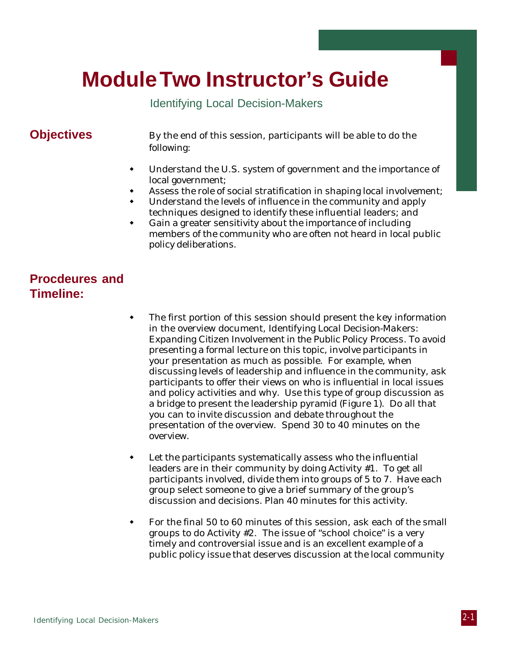### **Module Two Instructor's Guide**

Identifying Local Decision-Makers

**Objectives** By the end of this session, participants will be able to do the following:

- $\bullet$  Understand the U.S. system of government and the importance of local government;
- Assess the role of social stratification in shaping local involvement;
- Understand the levels of influence in the community and apply techniques designed to identify these influential leaders; and
- Gain a greater sensitivity about the importance of including members of the community who are often not heard in local public policy deliberations.

#### **Procdeures and Timeline:**

- The first portion of this session should present the key information in the overview document, *Identifying Local Decision-Makers: Expanding Citizen Involvement in the Public Policy Process.* To avoid presenting a formal lecture on this topic, involve participants in your presentation as much as possible. For example, when discussing levels of leadership and influence in the community, ask participants to offer their views on who is influential in local issues and policy activities and why. Use this type of group discussion as a bridge to present the leadership pyramid (Figure 1). Do all that you can to invite discussion and debate throughout the presentation of the overview. Spend 30 to 40 minutes on the overview.
- Let the participants systematically assess who the influential leaders are in their community by doing Activity #1. To get all participants involved, divide them into groups of 5 to 7. Have each group select someone to give a brief summary of the group's discussion and decisions. Plan 40 minutes for this activity.
- w For the final 50 to 60 minutes of this session, ask each of the small groups to do Activity #2. The issue of "school choice" is a very timely and controversial issue and is an excellent example of a public policy issue that deserves discussion at the local community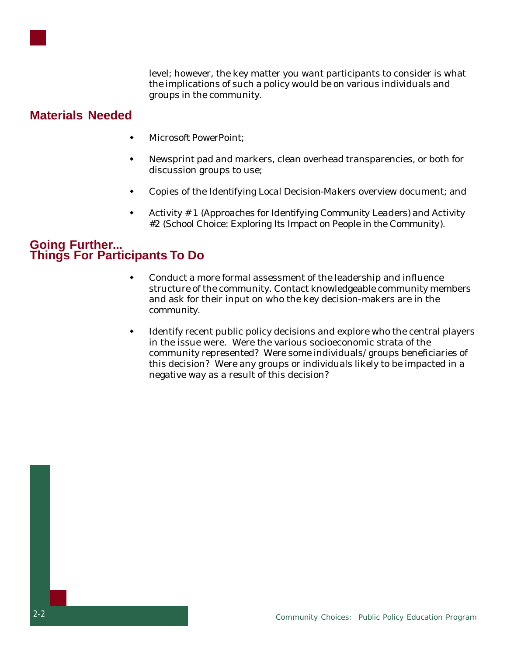

level; however, the key matter you want participants to consider is what the implications of such a policy would be on various individuals and groups in the community.

#### **Materials Needed**

- Microsoft PowerPoint:
- Newsprint pad and markers, clean overhead transparencies, or both for discussion groups to use;
- w Copies of the *Identifying Local Decision-Makers* overview document; and
- w Activity # 1 (*Approaches for Identifying Community Leaders)* and Activity #2 (*School Choice: Exploring Its Impact on People in the Community*).

#### **Going Further... Things For Participants To Do**

- Conduct a more formal assessment of the leadership and influence structure of the community. Contact knowledgeable community members and ask for their input on who the key decision-makers are in the community.
- Identify recent public policy decisions and explore who the central players in the issue were. Were the various socioeconomic strata of the community represented? Were some individuals/groups beneficiaries of this decision? Were any groups or individuals likely to be impacted in a negative way as a result of this decision?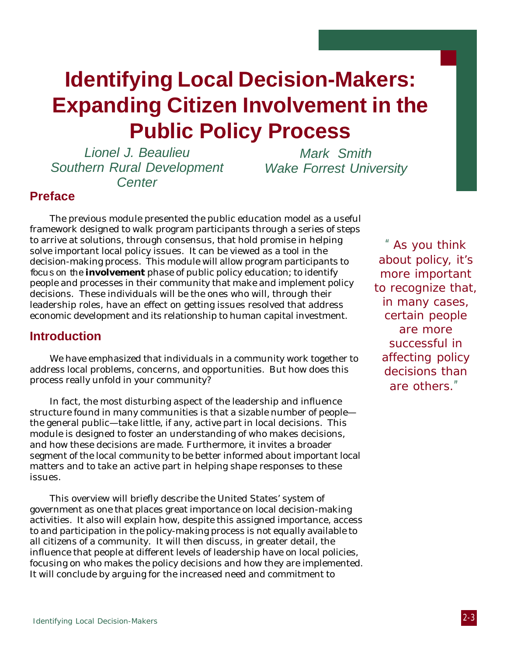### **Identifying Local Decision-Makers: Expanding Citizen Involvement in the Public Policy Process**

Lionel J. Beaulieu Southern Rural Development **Center** 

Mark Smith Wake Forrest University

#### **Preface**

The previous module presented the public education model as a useful framework designed to walk program participants through a series of steps to arrive at solutions, through consensus, that hold promise in helping solve important local policy issues. It can be viewed as a tool in the decision-making process. This module will allow program participants to focus on the **involvement** phase of public policy education; to identify people and processes in their community that make and implement policy decisions. These individuals will be the ones who will, through their leadership roles, have an effect on getting issues resolved that address economic development and its relationship to human capital investment.

#### **Introduction**

We have emphasized that individuals in a community work together to address local problems, concerns, and opportunities. But how does this process really unfold in your community?

In fact, the most disturbing aspect of the leadership and influence structure found in many communities is that a sizable number of people the general public—take little, if any, active part in local decisions. This module is designed to foster an understanding of who makes decisions, and how these decisions are made. Furthermore, it invites a broader segment of the local community to be better informed about important local matters and to take an active part in helping shape responses to these issues.

This overview will briefly describe the United States' system of government as one that places great importance on local decision-making activities. It also will explain how, despite this assigned importance, access to and participation in the policy-making process is not equally available to all citizens of a community. It will then discuss, in greater detail, the influence that people at different levels of leadership have on local policies, focusing on who makes the policy decisions and how they are implemented. It will conclude by arguing for the increased need and commitment to

"As you think about policy, it's more important to recognize that, in many cases, certain people are more successful in affecting policy decisions than are others."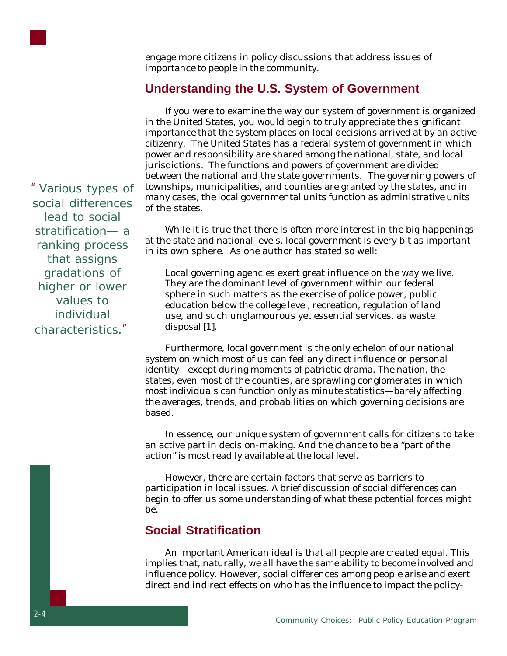

engage more citizens in policy discussions that address issues of importance to people in the community.

#### **Understanding the U.S. System of Government**

If you were to examine the way our system of government is organized in the United States, you would begin to truly appreciate the significant importance that the system places on local decisions arrived at by an active citizenry. The United States has a *federal system* of government in which power and responsibility are shared among the national, state, and local jurisdictions. The functions and powers of government are divided between the national and the state governments. The governing powers of townships, municipalities, and counties are granted by the states, and in many cases, the local governmental units function as administrative units of the states.

While it is true that there is often more interest in the big happenings at the state and national levels, local government is every bit as important in its own sphere. As one author has stated so well:

Local governing agencies exert great influence on the way we live. They are the dominant level of government within our federal sphere in such matters as the exercise of police power, public education below the college level, recreation, regulation of land use, and such unglamourous yet essential services, as waste disposal [1].

Furthermore, local government is the only echelon of our national system on which most of us can feel any direct influence or personal identity—except during moments of patriotic drama. The nation, the states, even most of the counties, are sprawling conglomerates in which most individuals can function only as minute statistics—barely affecting the averages, trends, and probabilities on which governing decisions are based.

In essence, our unique system of government calls for citizens to take an active part in decision-making. And the chance to be a "part of the action" is most readily available at the local level.

However, there are certain factors that serve as barriers to participation in local issues. A brief discussion of social differences can begin to offer us some understanding of what these potential forces might be.

#### **Social Stratification**

An important American ideal is that *all people are created equal*. This implies that, naturally, we all have the same ability to become involved and influence policy. However, social differences among people arise and exert direct and indirect effects on who has the influence to impact the policy-

"Various types of social differences lead to social stratification— a ranking process that assigns gradations of higher or lower values to individual characteristics."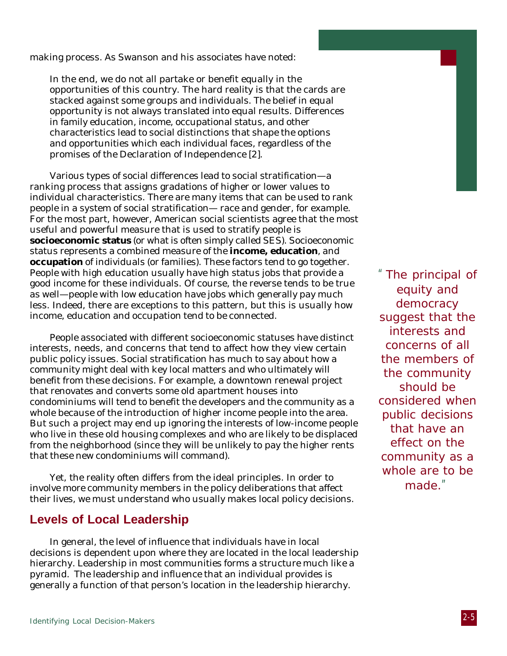making process. As Swanson and his associates have noted:

In the end, we do not all partake or benefit equally in the opportunities of this country. The hard reality is that the cards are stacked against some groups and individuals. The belief in equal opportunity is not always translated into equal results. Differences in family education, income, occupational status, and other characteristics lead to social distinctions that shape the options and opportunities which each individual faces, regardless of the promises of the Declaration of Independence [2].

Various types of social differences lead to social stratification—a ranking process that assigns gradations of higher or lower values to individual characteristics. There are many items that can be used to rank people in a system of social stratification— race and gender, for example. For the most part, however, American social scientists agree that the most useful and powerful measure that is used to stratify people is **socioeconomic status** (or what is often simply called SES). Socioeconomic status represents a combined measure of the **income, education**, and **occupation** of individuals (or families). These factors tend to go together. People with high education usually have high status jobs that provide a good income for these individuals. Of course, the reverse tends to be true as well—people with low education have jobs which generally pay much less. Indeed, there are exceptions to this pattern, but this is usually how income, education and occupation tend to be connected.

People associated with different socioeconomic statuses have distinct interests, needs, and concerns that tend to affect how they view certain public policy issues. Social stratification has much to say about how a community might deal with key local matters and who ultimately will benefit from these decisions. For example, a downtown renewal project that renovates and converts some old apartment houses into condominiums will tend to benefit the developers and the community as a whole because of the introduction of higher income people into the area. But such a project may end up ignoring the interests of low-income people who live in these old housing complexes and who are likely to be displaced from the neighborhood (since they will be unlikely to pay the higher rents that these new condominiums will command).

Yet, the reality often differs from the ideal principles. In order to involve more community members in the policy deliberations that affect their lives, we must understand who usually makes local policy decisions.

#### **Levels of Local Leadership**

In general, the level of influence that individuals have in local decisions is dependent upon where they are located in the local leadership hierarchy. Leadership in most communities forms a structure much like a pyramid. The leadership and influence that an individual provides is generally a function of that person's location in the leadership hierarchy.

"The principal of equity and democracy suggest that the interests and concerns of all the members of the community should be considered when public decisions that have an effect on the community as a whole are to be made."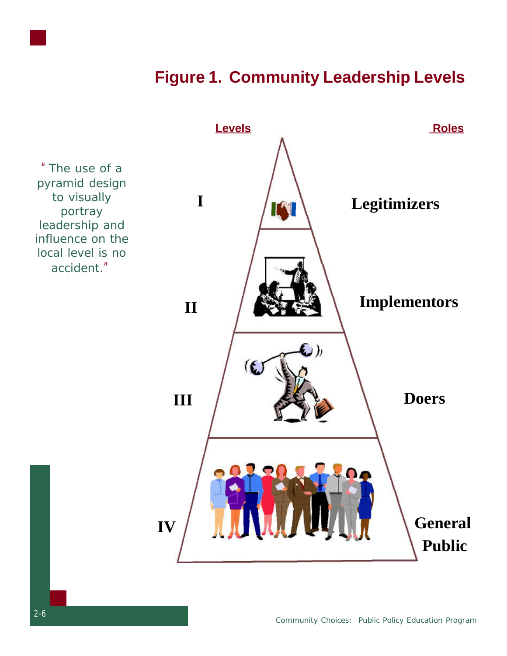

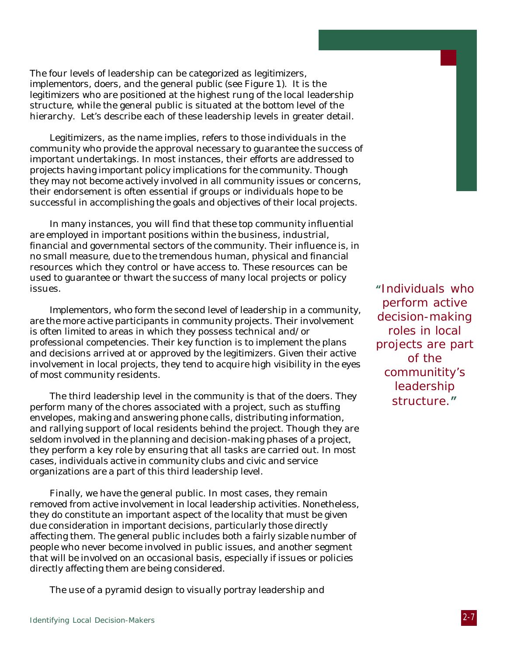The four levels of leadership can be categorized as *legitimizers, implementors, doers,* and the *general public* (see Figure 1). It is the *legitimizers* who are positioned at the highest rung of the local leadership structure, while the general public is situated at the bottom level of the hierarchy. Let's describe each of these leadership levels in greater detail.

*Legitimizers*, as the name implies, refers to those individuals in the community who provide the approval necessary to guarantee the success of important undertakings. In most instances, their efforts are addressed to projects having important policy implications for the community. Though they may not become actively involved in all community issues or concerns, their endorsement is often essential if groups or individuals hope to be successful in accomplishing the goals and objectives of their local projects.

In many instances, you will find that these top community influential are employed in important positions within the business, industrial, financial and governmental sectors of the community. Their influence is, in no small measure, due to the tremendous human, physical and financial resources which they control or have access to. These resources can be used to guarantee or thwart the success of many local projects or policy issues.

*Implementors*, who form the second level of leadership in a community, are the more active participants in community projects. Their involvement is often limited to areas in which they possess technical and/or professional competencies. Their key function is to implement the plans and decisions arrived at or approved by the *legitimizers*. Given their active involvement in local projects, they tend to acquire high visibility in the eyes of most community residents.

The third leadership level in the community is that of the *doers*. They perform many of the chores associated with a project, such as stuffing envelopes, making and answering phone calls, distributing information, and rallying support of local residents behind the project. Though they are seldom involved in the planning and decision-making phases of a project, they perform a key role by ensuring that all tasks are carried out. In most cases, individuals active in community clubs and civic and service organizations are a part of this third leadership level.

Finally, we have the general public. In most cases, they remain removed from active involvement in local leadership activities. Nonetheless, they do constitute an important aspect of the locality that must be given due consideration in important decisions, particularly those directly affecting them. The general public includes both a fairly sizable number of people who never become involved in public issues, and another segment that will be involved on an occasional basis, especially if issues or policies directly affecting them are being considered.

The use of a pyramid design to visually portray leadership and

**"**Individuals who perform active decision-making roles in local projects are part of the communitity's leadership structure.**"**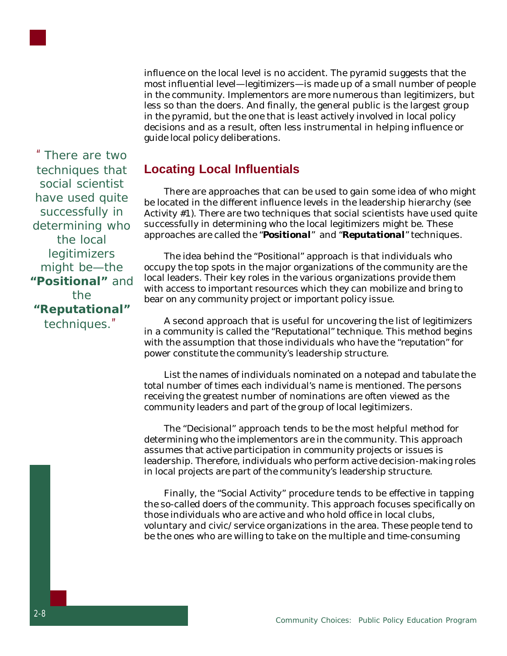

influence on the local level is no accident. The pyramid suggests that the most influential level—*legitimizers*—is made up of a small number of people in the community. Implementors are more numerous than *legitimizers*, but less so than the doers. And finally, the general public is the largest group in the pyramid, but the one that is least actively involved in local policy decisions and as a result, often less instrumental in helping influence or guide local policy deliberations.

**Locating Local Influentials**

There are approaches that can be used to gain some idea of who might be located in the different influence levels in the leadership hierarchy (see Activity #1). There are two techniques that social scientists have used quite successfully in determining who the local *legitimizers* might be. These approaches are called the "*Positional*" and "*Reputational*" techniques.

The idea behind the *"Positional"* approach is that individuals who occupy the top spots in the major organizations of the community are the local leaders. Their key roles in the various organizations provide them with access to important resources which they can mobilize and bring to bear on any community project or important policy issue.

A second approach that is useful for uncovering the list of *legitimizers* in a community is called the *"Reputational"* technique. This method begins with the assumption that those individuals who have the "*reputation*" for power constitute the community's leadership structure.

List the names of individuals nominated on a notepad and tabulate the total number of times each individual's name is mentioned. The persons receiving the greatest number of nominations are often viewed as the community leaders and part of the group of local legitimizers.

The *"Decisional"* approach tends to be the most helpful method for determining who the implementors are in the community. This approach assumes that active participation in community projects or issues is leadership. Therefore, individuals who perform active decision-making roles in local projects are part of the community's leadership structure.

Finally, the *"Social Activity"* procedure tends to be effective in tapping the so-called doers of the community. This approach focuses specifically on those individuals who are active and who hold office in local clubs, voluntary and civic/service organizations in the area. These people tend to be the ones who are willing to take on the multiple and time-consuming

"There are two techniques that social scientist have used quite successfully in determining who the local *legitimizers* might be—the **"Positional"** and the **"Reputational"** techniques."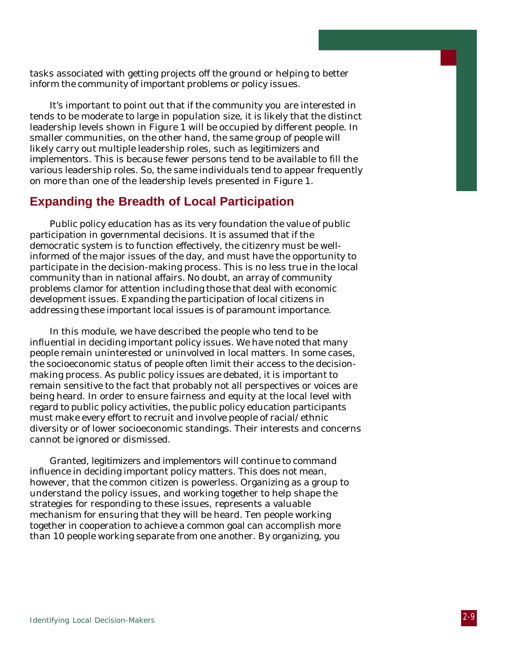tasks associated with getting projects off the ground or helping to better inform the community of important problems or policy issues.

It's important to point out that if the community you are interested in tends to be moderate to large in population size, it is likely that the distinct leadership levels shown in Figure 1 will be occupied by different people. In smaller communities, on the other hand, the same group of people will likely carry out multiple leadership roles, such as *legitimizers* and *implementors*. This is because fewer persons tend to be available to fill the various leadership roles. So, the same individuals tend to appear frequently on more than one of the leadership levels presented in Figure 1.

#### **Expanding the Breadth of Local Participation**

Public policy education has as its very foundation the value of public participation in governmental decisions. It is assumed that if the democratic system is to function effectively, the citizenry must be wellinformed of the major issues of the day, and must have the opportunity to participate in the decision-making process. This is no less true in the local community than in national affairs. No doubt, an array of community problems clamor for attention including those that deal with economic development issues. Expanding the participation of local citizens in addressing these important local issues is of paramount importance.

In this module, we have described the people who tend to be influential in deciding important policy issues. We have noted that many people remain uninterested or uninvolved in local matters. In some cases, the socioeconomic status of people often limit their access to the decisionmaking process. As public policy issues are debated, it is important to remain sensitive to the fact that probably not all perspectives or voices are being heard. In order to ensure fairness and equity at the local level with regard to public policy activities, the public policy education participants must make every effort to recruit and involve people of racial/ethnic diversity or of lower socioeconomic standings. Their interests and concerns cannot be ignored or dismissed.

Granted, *legitimizers* and *implementors* will continue to command influence in deciding important policy matters. This does not mean, however, that the common citizen is powerless. Organizing as a group to understand the policy issues, and working together to help shape the strategies for responding to these issues, represents a valuable mechanism for ensuring that they will be heard. Ten people working together in cooperation to achieve a common goal can accomplish more than 10 people working separate from one another. By organizing, you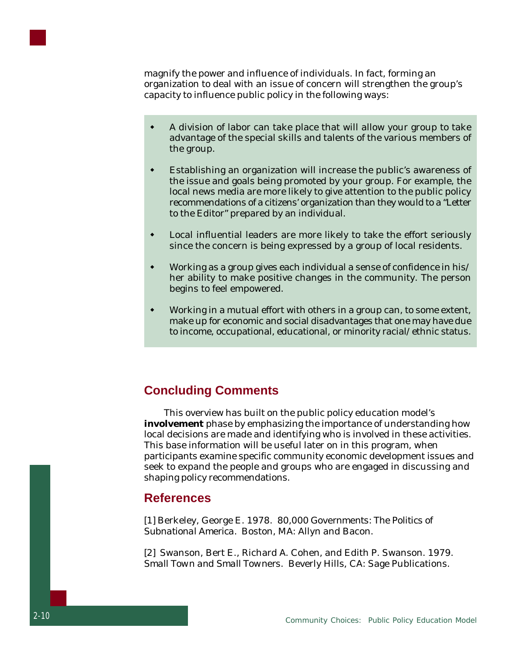

magnify the power and influence of individuals. In fact, forming an organization to deal with an issue of concern will strengthen the group's capacity to influence public policy in the following ways:

- w A division of labor can take place that will allow your group to take advantage of the special skills and talents of the various members of the group.
- Establishing an organization will increase the public's awareness of the issue and goals being promoted by your group. For example, the local news media are more likely to give attention to the public policy recommendations of a citizens' organization than they would to a "Letter to the Editor" prepared by an individual.
- Local influential leaders are more likely to take the effort seriously since the concern is being expressed by a group of local residents.
- w Working as a group gives each individual a sense of confidence in his/ her ability to make positive changes in the community. The person begins to feel empowered.
- Working in a mutual effort with others in a group can, to some extent, make up for economic and social disadvantages that one may have due to income, occupational, educational, or minority racial/ethnic status.

#### **Concluding Comments**

This overview has built on the public policy education model's **involvement** phase by emphasizing the importance of understanding how local decisions are made and identifying who is involved in these activities. This base information will be useful later on in this program, when participants examine specific community economic development issues and seek to expand the people and groups who are engaged in discussing and shaping policy recommendations.

#### **References**

[1] Berkeley, George E. 1978. *80,000 Governments: The Politics of Subnational America.* Boston, MA: Allyn and Bacon.

[2] Swanson, Bert E., Richard A. Cohen, and Edith P. Swanson. 1979. *Small Town and Small Towners.* Beverly Hills, CA: Sage Publications.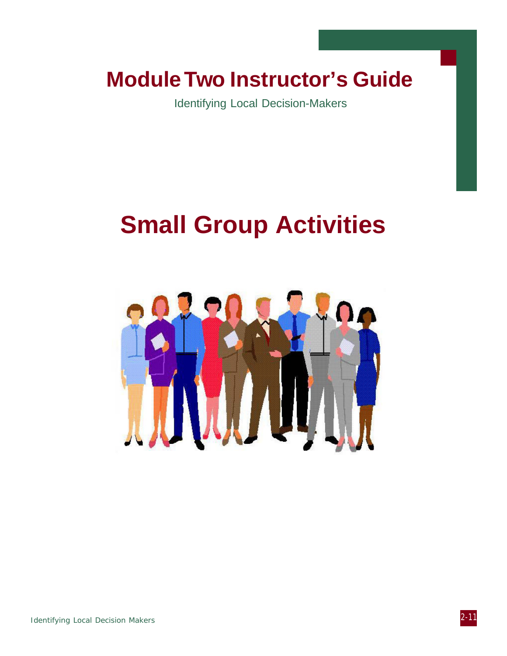### **Module Two Instructor's Guide**

Identifying Local Decision-Makers

## **Small Group Activities**

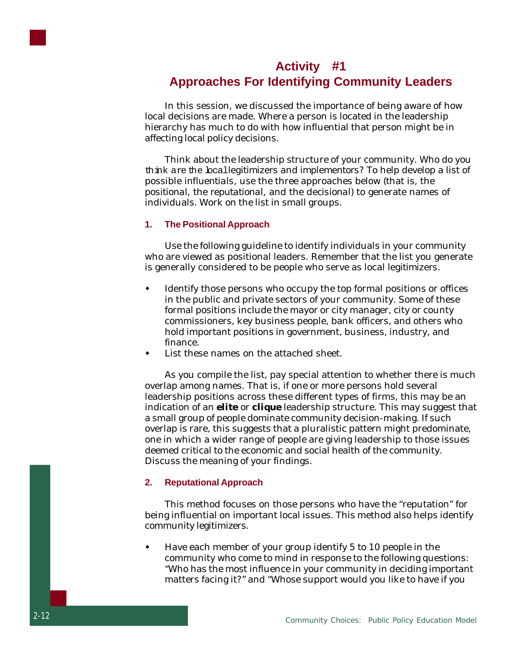

#### **Activity #1 Approaches For Identifying Community Leaders**

In this session, we discussed the importance of being aware of how local decisions are made. Where a person is located in the leadership hierarchy has much to do with how influential that person might be in affecting local policy decisions.

Think about the leadership structure of your community. Who do you think are the local *legitimizers* and *implementors*? To help develop a list of possible *influentials*, use the three approaches below (that is, the *positional*, the *reputational*, and the *decisional*) to generate names of individuals. Work on the list in small groups.

#### **1. The Positional Approach**

Use the following guideline to identify individuals in your community who are viewed as positional leaders. Remember that the list you generate is generally considered to be people who serve as local *legitimizers*.

- Identify those persons who occupy the top formal positions or offices in the public and private sectors of your community. Some of these formal positions include the mayor or city manager, city or county commissioners, key business people, bank officers, and others who hold important positions in government, business, industry, and finance.
- List these names on the attached sheet.

As you compile the list, pay special attention to whether there is much overlap among names. That is, if one or more persons hold several leadership positions across these different types of firms, this may be an indication of an *elite* or *clique* leadership structure. This may suggest that a small group of people dominate community decision-making. If such overlap is rare, this suggests that a pluralistic pattern might predominate, one in which a wider range of people are giving leadership to those issues deemed critical to the economic and social health of the community. Discuss the meaning of your findings.

#### **2. Reputational Approach**

This method focuses on those persons who have the "reputation" for being influential on important local issues. This method also helps identify community legitimizers.

 $\bullet$  Have each member of your group identify 5 to 10 people in the community who come to mind in response to the following questions: "Who has the most influence in your community in deciding important matters facing it?" and "Whose support would you like to have if you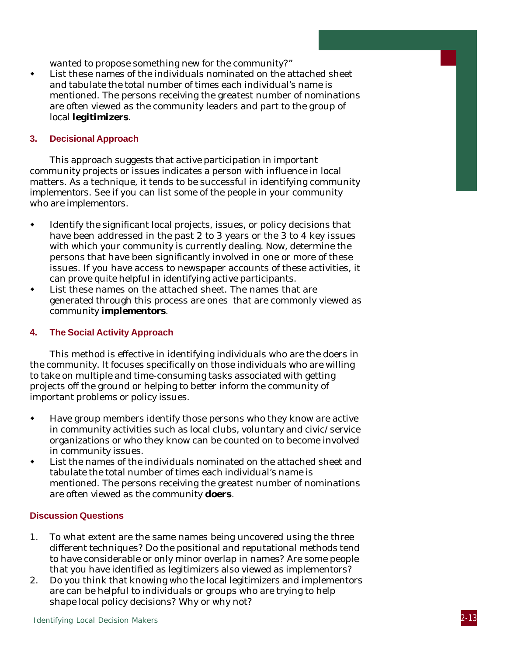wanted to propose something new for the community?"

 $\bullet$  List these names of the individuals nominated on the attached sheet and tabulate the total number of times each individual's name is mentioned. The persons receiving the greatest number of nominations are often viewed as the community leaders and part to the group of local *legitimizers*.

#### **3. Decisional Approach**

This approach suggests that active participation in important community projects or issues indicates a person with influence in local matters. As a technique, it tends to be successful in identifying community *implementors*. See if you can list some of the people in your community who are *implementors*.

- Identify the significant local projects, issues, or policy decisions that have been addressed in the past 2 to 3 years or the 3 to 4 key issues with which your community is currently dealing. Now, determine the persons that have been significantly involved in one or more of these issues. If you have access to newspaper accounts of these activities, it can prove quite helpful in identifying active participants.
- List these names on the attached sheet. The names that are generated through this process are ones that are commonly viewed as community *implementors*.

#### **4. The Social Activity Approach**

This method is effective in identifying individuals who are the doers in the community. It focuses specifically on those individuals who are willing to take on multiple and time-consuming tasks associated with getting projects off the ground or helping to better inform the community of important problems or policy issues.

- Have group members identify those persons who they know are active in community activities such as local clubs, voluntary and civic/service organizations or who they know can be counted on to become involved in community issues.
- List the names of the individuals nominated on the attached sheet and tabulate the total number of times each individual's name is mentioned. The persons receiving the greatest number of nominations are often viewed as the community *doers*.

#### **Discussion Questions**

- 1. To what extent are the same names being uncovered using the three different techniques? Do the positional and reputational methods tend to have considerable or only minor overlap in names? Are some people that you have identified as legitimizers also viewed as implementors?
- 2. Do you think that knowing who the local legitimizers and implementors are can be helpful to individuals or groups who are trying to help shape local policy decisions? Why or why not?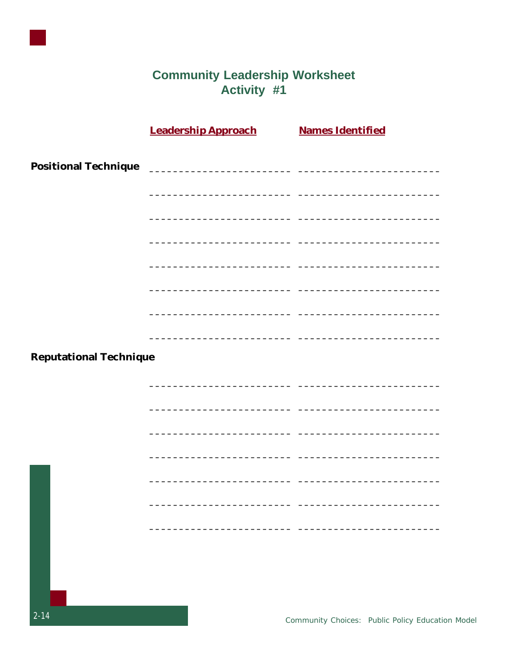

# **Community Leadership Worksheet<br>Activity #1**

|                               | <b>Leadership Approach</b>                                                                                             | <b>Names Identified</b> |
|-------------------------------|------------------------------------------------------------------------------------------------------------------------|-------------------------|
|                               |                                                                                                                        |                         |
|                               |                                                                                                                        |                         |
|                               |                                                                                                                        |                         |
|                               |                                                                                                                        |                         |
|                               |                                                                                                                        |                         |
|                               |                                                                                                                        |                         |
|                               | <u> 2000 - Jan James James Jan James James Jan James James Jan James James Jan Jan Jan James Jan Jan Jan Jan Jan J</u> |                         |
|                               |                                                                                                                        |                         |
|                               |                                                                                                                        |                         |
|                               | <u> 1989 - Johann Barbara, martxa alemaniar arg</u>                                                                    |                         |
| <b>Reputational Technique</b> |                                                                                                                        |                         |
|                               |                                                                                                                        |                         |
|                               |                                                                                                                        |                         |
|                               |                                                                                                                        |                         |
|                               |                                                                                                                        |                         |
|                               |                                                                                                                        |                         |
|                               |                                                                                                                        |                         |
|                               |                                                                                                                        |                         |
|                               |                                                                                                                        |                         |
|                               |                                                                                                                        |                         |
|                               |                                                                                                                        |                         |
|                               |                                                                                                                        |                         |
|                               |                                                                                                                        |                         |
|                               |                                                                                                                        |                         |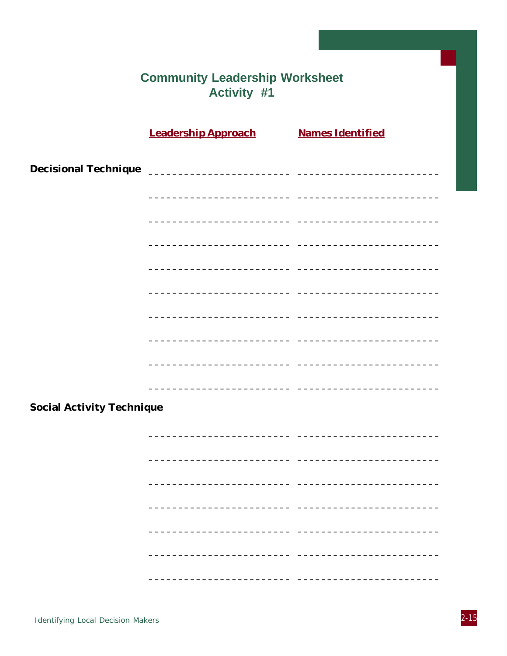|                                  | <b>Community Leadership Worksheet</b><br><b>Activity #1</b> |                                                              |  |
|----------------------------------|-------------------------------------------------------------|--------------------------------------------------------------|--|
|                                  |                                                             |                                                              |  |
|                                  | <b>Leadership Approach Mames Identified</b>                 |                                                              |  |
|                                  |                                                             |                                                              |  |
|                                  |                                                             |                                                              |  |
|                                  |                                                             |                                                              |  |
|                                  |                                                             | <u> 1989 - Johann John Harry, amerikan bernama (j. 1989)</u> |  |
|                                  |                                                             |                                                              |  |
|                                  |                                                             |                                                              |  |
|                                  |                                                             |                                                              |  |
|                                  |                                                             |                                                              |  |
|                                  |                                                             | - -                                                          |  |
|                                  |                                                             | - -                                                          |  |
|                                  |                                                             |                                                              |  |
|                                  |                                                             |                                                              |  |
| <b>Social Activity Technique</b> |                                                             |                                                              |  |
|                                  |                                                             |                                                              |  |
|                                  |                                                             |                                                              |  |
|                                  |                                                             |                                                              |  |
|                                  |                                                             |                                                              |  |
|                                  |                                                             |                                                              |  |
|                                  |                                                             |                                                              |  |
|                                  |                                                             |                                                              |  |
|                                  |                                                             |                                                              |  |